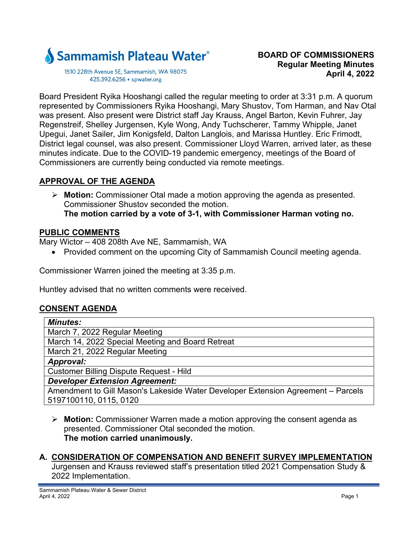

1510 228th Avenue SE, Sammamish, WA 98075 425.392.6256 · spwater.org

Board President Ryika Hooshangi called the regular meeting to order at 3:31 p.m. A quorum represented by Commissioners Ryika Hooshangi, Mary Shustov, Tom Harman, and Nav Otal was present. Also present were District staff Jay Krauss, Angel Barton, Kevin Fuhrer, Jay Regenstreif, Shelley Jurgensen, Kyle Wong, Andy Tuchscherer, Tammy Whipple, Janet Upegui, Janet Sailer, Jim Konigsfeld, Dalton Langlois, and Marissa Huntley. Eric Frimodt, District legal counsel, was also present. Commissioner Lloyd Warren, arrived later, as these minutes indicate. Due to the COVID-19 pandemic emergency, meetings of the Board of Commissioners are currently being conducted via remote meetings.

# **APPROVAL OF THE AGENDA**

 **Motion:** Commissioner Otal made a motion approving the agenda as presented. Commissioner Shustov seconded the motion. **The motion carried by a vote of 3-1, with Commissioner Harman voting no.** 

# **PUBLIC COMMENTS**

Mary Wictor – 408 208th Ave NE, Sammamish, WA

• Provided comment on the upcoming City of Sammamish Council meeting agenda.

Commissioner Warren joined the meeting at 3:35 p.m.

Huntley advised that no written comments were received.

# **CONSENT AGENDA**

| <b>Minutes:</b>                                                                  |
|----------------------------------------------------------------------------------|
| March 7, 2022 Regular Meeting                                                    |
| March 14, 2022 Special Meeting and Board Retreat                                 |
| March 21, 2022 Regular Meeting                                                   |
| Approval:                                                                        |
| <b>Customer Billing Dispute Request - Hild</b>                                   |
| <b>Developer Extension Agreement:</b>                                            |
| Amendment to Gill Mason's Lakeside Water Developer Extension Agreement - Parcels |

5197100110, 0115, 0120

 **Motion:** Commissioner Warren made a motion approving the consent agenda as presented. Commissioner Otal seconded the motion. **The motion carried unanimously.** 

# **A. CONSIDERATION OF COMPENSATION AND BENEFIT SURVEY IMPLEMENTATION**

Jurgensen and Krauss reviewed staff's presentation titled 2021 Compensation Study & 2022 Implementation.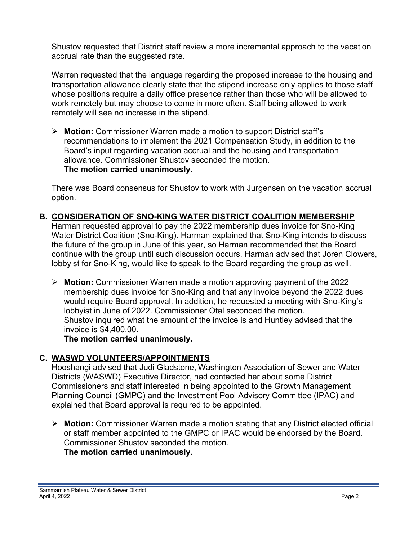Shustov requested that District staff review a more incremental approach to the vacation accrual rate than the suggested rate.

Warren requested that the language regarding the proposed increase to the housing and transportation allowance clearly state that the stipend increase only applies to those staff whose positions require a daily office presence rather than those who will be allowed to work remotely but may choose to come in more often. Staff being allowed to work remotely will see no increase in the stipend.

 **Motion:** Commissioner Warren made a motion to support District staff's recommendations to implement the 2021 Compensation Study, in addition to the Board's input regarding vacation accrual and the housing and transportation allowance. Commissioner Shustov seconded the motion. **The motion carried unanimously.** 

There was Board consensus for Shustov to work with Jurgensen on the vacation accrual option.

**B. CONSIDERATION OF SNO-KING WATER DISTRICT COALITION MEMBERSHIP** 

Harman requested approval to pay the 2022 membership dues invoice for Sno-King Water District Coalition (Sno-King). Harman explained that Sno-King intends to discuss the future of the group in June of this year, so Harman recommended that the Board continue with the group until such discussion occurs. Harman advised that Joren Clowers, lobbyist for Sno-King, would like to speak to the Board regarding the group as well.

 **Motion:** Commissioner Warren made a motion approving payment of the 2022 membership dues invoice for Sno-King and that any invoice beyond the 2022 dues would require Board approval. In addition, he requested a meeting with Sno-King's lobbyist in June of 2022. Commissioner Otal seconded the motion. Shustov inquired what the amount of the invoice is and Huntley advised that the invoice is \$4,400.00.

**The motion carried unanimously.** 

# **C. WASWD VOLUNTEERS/APPOINTMENTS**

Hooshangi advised that Judi Gladstone, Washington Association of Sewer and Water Districts (WASWD) Executive Director, had contacted her about some District Commissioners and staff interested in being appointed to the Growth Management Planning Council (GMPC) and the Investment Pool Advisory Committee (IPAC) and explained that Board approval is required to be appointed.

 **Motion:** Commissioner Warren made a motion stating that any District elected official or staff member appointed to the GMPC or IPAC would be endorsed by the Board. Commissioner Shustov seconded the motion. **The motion carried unanimously.**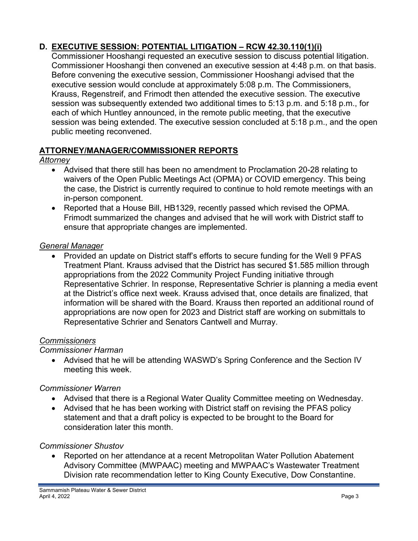# **D. EXECUTIVE SESSION: POTENTIAL LITIGATION – RCW 42.30.110(1)(i)**

Commissioner Hooshangi requested an executive session to discuss potential litigation. Commissioner Hooshangi then convened an executive session at 4:48 p.m. on that basis. Before convening the executive session, Commissioner Hooshangi advised that the executive session would conclude at approximately 5:08 p.m. The Commissioners, Krauss, Regenstreif, and Frimodt then attended the executive session. The executive session was subsequently extended two additional times to 5:13 p.m. and 5:18 p.m., for each of which Huntley announced, in the remote public meeting, that the executive session was being extended. The executive session concluded at 5:18 p.m., and the open public meeting reconvened.

# **ATTORNEY/MANAGER/COMMISSIONER REPORTS**

#### *Attorney*

- Advised that there still has been no amendment to Proclamation 20-28 relating to waivers of the Open Public Meetings Act (OPMA) or COVID emergency. This being the case, the District is currently required to continue to hold remote meetings with an in-person component.
- Reported that a House Bill, HB1329, recently passed which revised the OPMA. Frimodt summarized the changes and advised that he will work with District staff to ensure that appropriate changes are implemented.

#### *General Manager*

• Provided an update on District staff's efforts to secure funding for the Well 9 PFAS Treatment Plant. Krauss advised that the District has secured \$1.585 million through appropriations from the 2022 Community Project Funding initiative through Representative Schrier. In response, Representative Schrier is planning a media event at the District's office next week. Krauss advised that, once details are finalized, that information will be shared with the Board. Krauss then reported an additional round of appropriations are now open for 2023 and District staff are working on submittals to Representative Schrier and Senators Cantwell and Murray.

#### *Commissioners*

# *Commissioner Harman*

 Advised that he will be attending WASWD's Spring Conference and the Section IV meeting this week.

# *Commissioner Warren*

- Advised that there is a Regional Water Quality Committee meeting on Wednesday.
- Advised that he has been working with District staff on revising the PFAS policy statement and that a draft policy is expected to be brought to the Board for consideration later this month.

# *Commissioner Shustov*

 Reported on her attendance at a recent Metropolitan Water Pollution Abatement Advisory Committee (MWPAAC) meeting and MWPAAC's Wastewater Treatment Division rate recommendation letter to King County Executive, Dow Constantine.